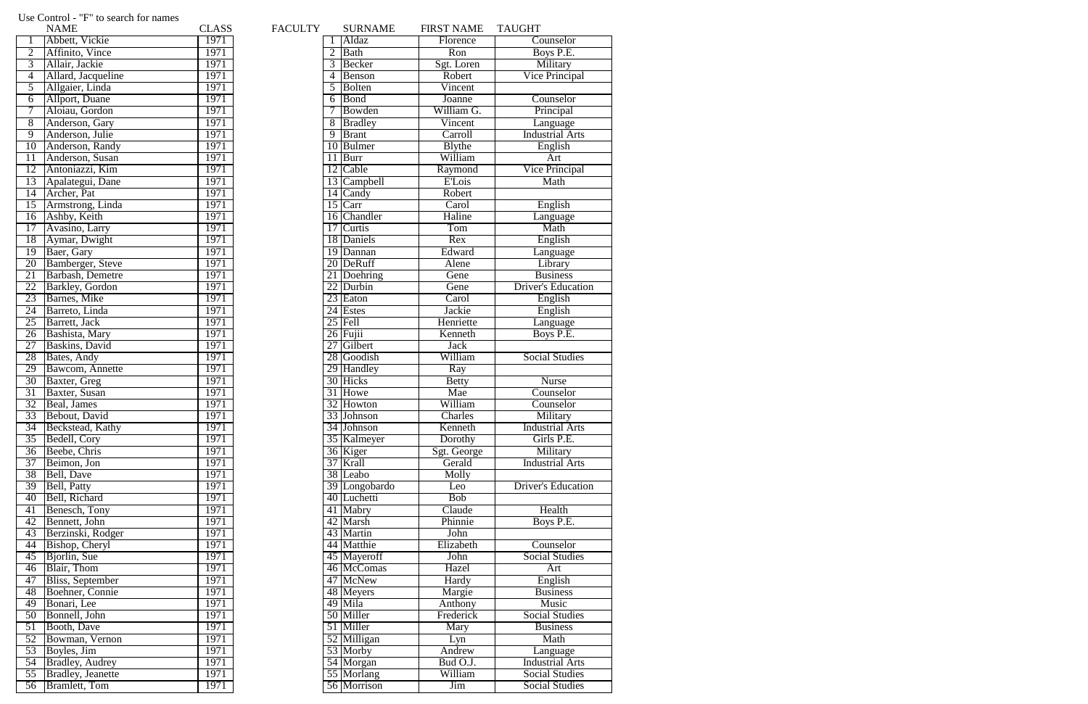## Use Control - "F" to search for names

|                 | <b>NAME</b>                                  | CLASS        | <b>FACULTY</b> | SURNAME                   | <b>FIRST NAM</b>             |
|-----------------|----------------------------------------------|--------------|----------------|---------------------------|------------------------------|
| 1               | Abbett, Vickie                               | 1971         |                | Aldaz                     | Florence                     |
| $\overline{2}$  | Affinito, Vince                              | 1971         | $\overline{2}$ | Bath                      | Ron                          |
| $\overline{3}$  | Allair, Jackie                               | 1971         | 3              | Becker                    | Sgt. Lore                    |
| $\overline{4}$  | Allard, Jacqueline                           | 1971         | 4              | Benson                    | Robert                       |
| $\overline{5}$  | Allgaier, Linda                              | 1971         | 5              | <b>Bolten</b>             | Vincent                      |
| $\overline{6}$  | Allport, Duane                               | 1971         | 6              | Bond                      | Joanne                       |
| 7               | Aloiau, Gordon                               | 1971         | 7              | Bowden                    | William <sup>(</sup>         |
| $\overline{8}$  | Anderson, Gary                               | 1971         | $\overline{8}$ | <b>Bradley</b>            | Vincent                      |
| $\overline{9}$  | Anderson, Julie                              | 1971         | $\overline{9}$ | <b>Brant</b>              | Carroll                      |
| $\overline{10}$ | Anderson, Randy                              | 1971         |                | 10 Bulmer                 | Blythe                       |
| 11              | Anderson, Susan                              | 1971         | 11             | Burr                      | William                      |
| 12              | Antoniazzi, Kim                              | 1971         |                | 12 Cable                  | Raymon                       |
| 13              | Apalategui, Dane                             | 1971         |                | 13 Campbell               | <b>E'Lois</b>                |
| 14              | Archer, Pat                                  | 1971         |                | 14 Candy                  | Robert                       |
| $\overline{15}$ | Armstrong, Linda                             | 1971         |                | $15$ Carr                 | Carol                        |
| $\overline{16}$ | Ashby, Keith                                 | 1971         |                | 16 Chandler               | Haline                       |
| 17              | Avasino, Larry                               | 1971         |                | 17 Curtis                 | Tom                          |
| 18              | Aymar, Dwight                                | 1971         |                | 18 Daniels                | $\overline{\text{Rex}}$      |
| $\overline{19}$ | Baer, Gary                                   | 1971         |                | 19 Dannan                 | Edward                       |
| 20              | Bamberger, Steve                             | 1971         |                | 20 DeRuff                 | Alene                        |
| 21              | Barbash, Demetre                             | 1971         |                | 21 Doehring               | Gene                         |
| 22              | <b>Barkley</b> , Gordon                      | 1971         |                | 22 Durbin                 | Gene                         |
| 23              | Barnes, Mike                                 | 1971         |                | 23 Eaton                  | Carol                        |
| 24              | Barreto, Linda                               | 1971         |                | $\overline{24}$ Estes     | Jackie                       |
| 25              | Barrett, Jack                                | 1971         |                | $25$ Fell                 | Henriett                     |
| 26              | Bashista, Mary                               | 1971         |                | $26$ Fujii                | Kenneth                      |
| 27              | Baskins, David                               | 1971         |                | 27 Gilbert                | Jack                         |
| 28              | Bates, Andy                                  | 1971         |                | 28 Goodish                | William                      |
| 29              | Bawcom, Annette                              | 1971         |                | 29 Handley                | Ray                          |
| 30              | Baxter, Greg                                 | 1971         |                | 30 Hicks                  | <b>Betty</b>                 |
| 31              | Baxter, Susan                                | 1971         |                | 31 Howe                   | Mae                          |
| 32              | Beal, James                                  | 1971         |                | 32 Howton                 | William                      |
| $\overline{33}$ | Bebout, David                                | 1971         |                | 33 Johnson                | Charles                      |
|                 | 34 Beckstead, Kathy                          | 1971         |                | 34 Johnson                | Kenneth                      |
| $\overline{35}$ | Bedell, Cory                                 | 1971         |                | 35 Kalmeyer               | Dorothy                      |
| $\overline{36}$ | Beebe, Chris                                 | 1971         |                | 36 Kiger                  | Sgt. Georg                   |
| $\overline{37}$ | Beimon, Jon                                  | 1971         |                | 37 Krall                  | Gerald                       |
| 38              | Bell, Dave                                   | 1971         |                | 38 Leabo                  | Molly                        |
| 39              | Bell, Patty                                  | 1971         |                | 39 Longobardo             | Leo                          |
| 40              | Bell, Richard                                | 1971         |                | 40 Luchetti               | <b>Bob</b>                   |
| 41              | Benesch, Tony                                | 1971         |                | 41 Mabry                  | Claude                       |
| 42              | Bennett, John                                | 1971         |                | 42 Marsh                  | Phinnie                      |
| 43              | Berzinski, Rodger                            | 1971         |                | 43 Martin                 | John                         |
| 44              | Bishop, Cheryl                               | 1971         |                | 44 Matthie                | Elizabetl                    |
| 45              | Bjorlin, Sue                                 | 1971         |                | 45 Mayeroff               | John                         |
| 46              | Blair, Thom                                  | 1971         |                | 46 McComas                | Hazel                        |
| 47              | <b>Bliss</b> , September                     | 1971         |                | 47 McNew                  | Hardy                        |
| 48              | Boehner, Connie                              | 1971         |                | 48 Meyers                 | Margie                       |
| 49              | Bonari, Lee                                  | 1971         |                | 49 Mila                   | Anthony                      |
| 50              | Bonnell, John                                | 1971         |                | 50 Miller                 | Fredericl                    |
| $\overline{51}$ | Booth, Dave                                  | 1971         |                | 51 Miller                 | Mary                         |
| $\overline{52}$ | Bowman, Vernon                               | 1971         |                | 52 Milligan               | Lyn                          |
| $\overline{53}$ | Boyles, Jim                                  | 1971         |                | $\overline{53}$ Morby     | Andrew                       |
| $\overline{54}$ | <b>Bradley</b> , Audrey                      | 1971         |                | 54 Morgan                 | Bud O.J                      |
| $\overline{55}$ | <b>Bradley</b> , Jeanette<br>56 Bramlett Tom | 1971<br>1971 |                | 55 Morlang<br>56 Morrison | William<br>$\overline{\lim}$ |
|                 |                                              |              |                |                           |                              |

|                 | <b>NAME</b>               | <b>CLASS</b> | FACULTY |                | <b>SURNAME</b> | <b>FIRST NAME</b>       | <b>TAUGHT</b>             |
|-----------------|---------------------------|--------------|---------|----------------|----------------|-------------------------|---------------------------|
| $\overline{1}$  | Abbett, Vickie            | 1971         |         |                | 1 Aldaz        | Florence                | Counselor                 |
|                 | Affinito, Vince           | 1971         |         | 2              | Bath           | $\overline{\text{Ron}}$ | Boys P.E.                 |
| $\overline{3}$  | Allair, Jackie            | 1971         |         | 3              | Becker         | Sgt. Loren              | Military                  |
| $\overline{4}$  | Allard, Jacqueline        | 1971         |         | 4              | Benson         | Robert                  | <b>Vice Principal</b>     |
| $\overline{5}$  | Allgaier, Linda           | 1971         |         | 5              | Bolten         | Vincent                 |                           |
| $\overline{6}$  | <b>Allport</b> , Duane    | 1971         |         | 6              | Bond           | Joanne                  | Counselor                 |
| $\overline{7}$  | Aloiau, Gordon            | 1971         |         |                | Bowden         | William G.              | Principal                 |
| 8               | Anderson, Gary            | 1971         |         | 8              | Bradley        | Vincent                 | Language                  |
| $\overline{9}$  | Anderson, Julie           | 1971         |         | $\overline{9}$ | Brant          | Carroll                 | <b>Industrial Arts</b>    |
| 10 <sup>1</sup> | Anderson, Randy           | 1971         |         |                | 10 Bulmer      | <b>Blythe</b>           | English                   |
| $\overline{11}$ | Anderson, Susan           | 1971         |         |                | $11$ Burr      | William                 | Art                       |
| 12              | Antoniazzi, Kim           | 1971         |         |                | 12 Cable       | Raymond                 | <b>Vice Principal</b>     |
| 13              | Apalategui, Dane          | 1971         |         |                | 13 Campbell    | <b>E'Lois</b>           | Math                      |
| 14              | Archer, Pat               | 1971         |         |                | 14 Candy       | Robert                  |                           |
| 15              | Armstrong, Linda          | 1971         |         |                | $15$ Carr      | Carol                   | English                   |
|                 | 16 Ashby, Keith           | 1971         |         |                | 16 Chandler    | Haline                  | Language                  |
| 17              | Avasino, Larry            | 1971         |         |                | 17 Curtis      | Tom                     | Math                      |
| 18              | Aymar, Dwight             | 1971         |         |                | 18 Daniels     | Rex                     | English                   |
| 19              | Baer, Gary                | 1971         |         |                | 19 Dannan      | Edward                  | Language                  |
| 20              | <b>Bamberger</b> , Steve  | 1971         |         |                | 20 DeRuff      | Alene                   | Library                   |
| $\overline{21}$ | Barbash, Demetre          | 1971         |         |                | 21 Doehring    | Gene                    | <b>Business</b>           |
| 22              | <b>Barkley</b> , Gordon   | 1971         |         |                | 22 Durbin      | Gene                    | <b>Driver's Education</b> |
| 23              | Barnes, Mike              | 1971         |         |                | 23 Eaton       | Carol                   | English                   |
| 24              |                           | 1971         |         |                | 24 Estes       | Jackie                  | English                   |
| 25              | Barreto, Linda            | 1971         |         |                | $25$ Fell      | Henriette               |                           |
|                 | Barrett, Jack             |              |         |                |                |                         | Language                  |
| 26              | Bashista, Mary            | 1971         |         |                | 26 Fujii       | Kenneth                 | Boys P.E.                 |
| $\overline{27}$ | <b>Baskins</b> , David    | 1971         |         |                | 27 Gilbert     | <b>Jack</b>             |                           |
| $\overline{28}$ | Bates, Andy               | 1971         |         |                | 28 Goodish     | William                 | <b>Social Studies</b>     |
| 29              | Bawcom, Annette           | 1971         |         |                | 29 Handley     | Ray                     |                           |
| 30              | Baxter, Greg              | 1971         |         |                | 30 Hicks       | <b>Betty</b>            | <b>Nurse</b>              |
| $\overline{31}$ | Baxter, Susan             | 1971         |         |                | 31 Howe        | Mae                     | Counselor                 |
| 32              | Beal, James               | 1971         |         |                | 32 Howton      | William                 | Counselor                 |
|                 | 33 Bebout, David          | 1971         |         |                | 33 Johnson     | Charles                 | Military                  |
|                 | 34 Beckstead, Kathy       | 1971         |         |                | 34 Johnson     | Kenneth                 | <b>Industrial Arts</b>    |
| 35              | Bedell, Cory              | 1971         |         |                | 35 Kalmeyer    | Dorothy                 | Girls P.E.                |
|                 | 36 Beebe, Chris           | 1971         |         |                | 36 Kiger       | Sgt. George             | Military                  |
| 37              | Beimon, Jon               | 1971         |         |                | 37 Krall       | Gerald                  | <b>Industrial Arts</b>    |
| 38              | Bell, Dave                | 1971         |         |                | 38 Leabo       | Molly                   |                           |
| 39              | Bell, Patty               | 1971         |         |                | 39 Longobardo  | Leo                     | <b>Driver's Education</b> |
| 40              | Bell, Richard             | 1971         |         |                | 40 Luchetti    | <b>Bob</b>              |                           |
| 41              | Benesch, Tony             | 1971         |         |                | 41 Mabry       | Claude                  | Health                    |
| 42              | Bennett, John             | 1971         |         |                | 42 Marsh       | Phinnie                 | Boys P.E.                 |
| 43              | Berzinski, Rodger         | 1971         |         |                | 43 Martin      | John                    |                           |
| 44              | Bishop, Cheryl            | 1971         |         |                | 44 Matthie     | Elizabeth               | Counselor                 |
| 45              | Bjorlin, Sue              | 1971         |         |                | 45 Mayeroff    | John                    | <b>Social Studies</b>     |
| 46              | Blair, Thom               | 1971         |         |                | 46 McComas     | Hazel                   | Art                       |
| 47              | <b>Bliss, September</b>   | 1971         |         |                | 47 McNew       | Hardy                   | English                   |
| 48              | Boehner, Connie           | 1971         |         |                | 48 Meyers      | Margie                  | <b>Business</b>           |
| 49              | Bonari, Lee               | 1971         |         |                | 49 Mila        | Anthony                 | Music                     |
| 50              | Bonnell, John             | 1971         |         |                | 50 Miller      | Frederick               | <b>Social Studies</b>     |
| $\overline{51}$ | Booth, Dave               | 1971         |         |                | 51 Miller      | Mary                    | <b>Business</b>           |
| 52              | Bowman, Vernon            | 1971         |         |                | 52 Milligan    | Lyn                     | Math                      |
| 53              | Boyles, Jim               | 1971         |         |                | 53 Morby       | Andrew                  | Language                  |
| 54              | <b>Bradley</b> , Audrey   | 1971         |         |                | 54 Morgan      | Bud O.J.                | <b>Industrial Arts</b>    |
| 55              | <b>Bradley</b> , Jeanette | 1971         |         |                | 55 Morlang     | William                 | <b>Social Studies</b>     |
|                 | 56 Bramlett, Tom          | 1971         |         |                | 56 Morrison    | <b>Jim</b>              | <b>Social Studies</b>     |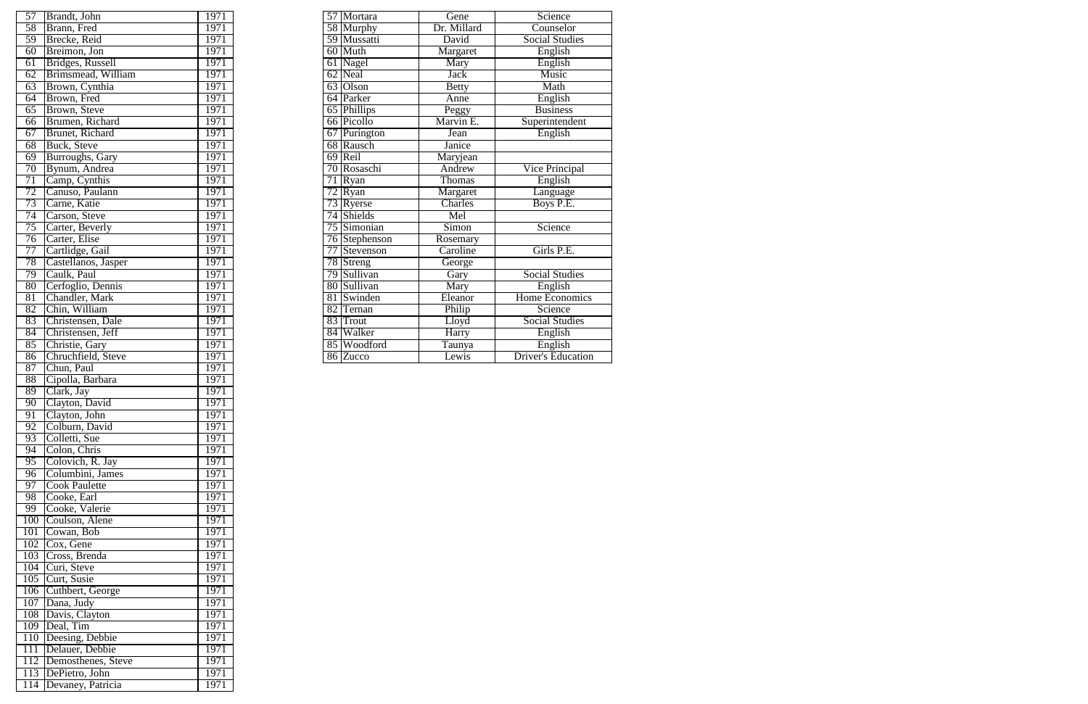|                 | 57 Brandt, John         | 1971 |  | 57 Mortara    | Gene          | Science                   |
|-----------------|-------------------------|------|--|---------------|---------------|---------------------------|
| 58              | Brann, Fred             | 1971 |  | 58 Murphy     | Dr. Millard   | Counselor                 |
| 59              | Brecke, Reid            | 1971 |  | 59 Mussatti   | David         | <b>Social Studies</b>     |
| 60              | Breimon, Jon            | 1971 |  | 60 Muth       | Margaret      | English                   |
| 61              | Bridges, Russell        | 1971 |  | 61 Nagel      | Mary          | English                   |
| 62              | Brimsmead, William      | 1971 |  | 62 Neal       | <b>Jack</b>   | Music                     |
| 63              | Brown, Cynthia          | 1971 |  | 63 Olson      | <b>Betty</b>  | Math                      |
| 64              | Brown, Fred             | 1971 |  | 64 Parker     | Anne          | English                   |
| $\overline{65}$ | Brown, Steve            | 1971 |  | 65 Phillips   | Peggy         | <b>Business</b>           |
| 66              | Brumen, Richard         | 1971 |  | 66 Picollo    | Marvin E.     | Superintendent            |
| 67              | <b>Brunet</b> , Richard | 1971 |  | 67 Purington  | Jean          | English                   |
| 68              | Buck, Steve             | 1971 |  | 68 Rausch     | Janice        |                           |
| 69              | Burroughs, Gary         | 1971 |  | 69 Reil       | Maryjean      |                           |
| $\overline{70}$ | Bynum, Andrea           | 1971 |  | 70 Rosaschi   | Andrew        | <b>Vice Principal</b>     |
| 71              | Camp, Cynthis           | 1971 |  | 71 Ryan       | <b>Thomas</b> | English                   |
| $\overline{72}$ | Canuso, Paulann         | 1971 |  | $72$ Ryan     | Margaret      | Language                  |
| 73              | Carne, Katie            | 1971 |  | 73 Ryerse     | Charles       | Boys P.E.                 |
| 74              | Carson, Steve           | 1971 |  | 74 Shields    | Mel           |                           |
| 75              | Carter, Beverly         | 1971 |  | 75 Simonian   | <b>Simon</b>  | Science                   |
| 76              | Carter, Elise           | 1971 |  | 76 Stephenson | Rosemary      |                           |
| 77              | Cartlidge, Gail         | 1971 |  | 77 Stevenson  | Caroline      | Girls P.E.                |
| 78              | Castellanos, Jasper     | 1971 |  | 78 Streng     | George        |                           |
| 79              | Caulk, Paul             | 1971 |  | 79 Sullivan   | Gary          | <b>Social Studies</b>     |
| 80 <sup>°</sup> | Cerfoglio, Dennis       | 1971 |  | 80 Sullivan   | Mary          | English                   |
| $\overline{81}$ | Chandler, Mark          | 1971 |  | 81 Swinden    | Eleanor       | Home Economics            |
| $\overline{82}$ | Chin, William           | 1971 |  | 82 Ternan     | Philip        | Science                   |
| 83              | Christensen, Dale       | 1971 |  | 83 Trout      | Lloyd         | <b>Social Studies</b>     |
| 84              | Christensen, Jeff       | 1971 |  | 84 Walker     | Harry         | English                   |
| $\overline{85}$ | Christie, Gary          | 1971 |  | 85 Woodford   | Taunya        | English                   |
|                 | 86 Chruchfield, Steve   | 1971 |  | 86 Zucco      | Lewis         | <b>Driver's Education</b> |

| $\overline{57}$ | Brandt, John           | 1971 | 57 Mortara                  | Gene         |
|-----------------|------------------------|------|-----------------------------|--------------|
| 58              | Brann, Fred            | 1971 | 58 Murphy                   | Dr. Millard  |
| 59              | Brecke, Reid           | 1971 | 59 Mussatti                 | David        |
| 60              | Breimon, Jon           | 1971 | 60 Muth                     | Margaret     |
| $\overline{61}$ |                        | 1971 |                             | Mary         |
|                 | Bridges, Russell       |      | 61 Nagel                    |              |
| 62              | Brimsmead, William     | 1971 | 62 Neal                     | <b>Jack</b>  |
| 63              | Brown, Cynthia         | 1971 | 63 Olson                    | <b>Betty</b> |
| 64              | Brown, Fred            | 1971 | 64 Parker                   | Anne         |
| 65              | Brown, Steve           | 1971 | 65 Phillips                 | Peggy        |
| 66              | Brumen, Richard        | 1971 | 66 Picollo                  | Marvin E.    |
| 67              | Brunet, Richard        | 1971 | 67 Purington                | Jean         |
| 68              | Buck, Steve            | 1971 | 68 Rausch                   | Janice       |
| 69              | Burroughs, Gary        | 1971 | 69 Reil                     | Maryjean     |
| 70              | Bynum, Andrea          | 1971 | 70 Rosaschi                 | Andrew       |
| 71              | Camp, Cynthis          | 1971 | 71 Ryan                     | Thomas       |
| 72              | Canuso, Paulann        | 1971 | $72 \overline{\text{Ryan}}$ | Margaret     |
| 73              | Carne, Katie           | 1971 | $\overline{73}$ Ryerse      | Charles      |
| 74              | Carson, Steve          | 1971 | 74 Shields                  | Mel          |
| 75              | Carter, Beverly        | 1971 | 75 Simonian                 | Simon        |
| 76              | Carter, Elise          | 1971 | 76 Stephenson               | Rosemary     |
| 77              | Cartlidge, Gail        | 1971 | 77 Stevenson                | Caroline     |
| 78              | Castellanos, Jasper    | 1971 | 78 Streng                   | George       |
| 79              | Caulk, Paul            | 1971 | 79 Sullivan                 | Gary         |
|                 |                        |      |                             |              |
| 80              | Cerfoglio, Dennis      | 1971 | 80 Sullivan                 | Mary         |
| 81              | Chandler, Mark         | 1971 | 81 Swinden                  | Eleanor      |
| 82              | Chin, William          | 1971 | 82 Ternan                   | Philip       |
| 83              | Christensen, Dale      | 1971 | 83 Trout                    | Lloyd        |
| 84              | Christensen, Jeff      | 1971 | 84 Walker                   | Harry        |
| 85              | Christie, Gary         | 1971 | 85 Woodford                 | Taunya       |
| 86              | Chruchfield, Steve     | 1971 | 86 Zucco                    | Lewis        |
| 87              | Chun, Paul             | 1971 |                             |              |
| 88              | Cipolla, Barbara       | 1971 |                             |              |
| 89              | Clark, Jay             | 1971 |                             |              |
| 90              | Clayton, David         | 1971 |                             |              |
| 91              | Clayton, John          | 1971 |                             |              |
| 92              | Colburn, David         | 1971 |                             |              |
| 93              | Colletti, Sue          | 1971 |                             |              |
| 94              | Colon, Chris           | 1971 |                             |              |
| 95              | Colovich, R. Jay       | 1971 |                             |              |
| 96              | Columbini, James       | 1971 |                             |              |
| 97              | <b>Cook Paulette</b>   | 1971 |                             |              |
| 98              | Cooke, Earl            | 1971 |                             |              |
| 99              | Cooke, Valerie         | 1971 |                             |              |
| 100             | Coulson, Alene         | 1971 |                             |              |
| 101             | Cowan, Bob             | 1971 |                             |              |
|                 | 102 Cox, Gene          | 1971 |                             |              |
|                 | 103 Cross, Brenda      | 1971 |                             |              |
|                 | 104 Curi, Steve        | 1971 |                             |              |
|                 | 105 Curt, Susie        | 1971 |                             |              |
|                 | 106 Cuthbert, George   | 1971 |                             |              |
|                 | 107 Dana, Judy         | 1971 |                             |              |
|                 | 108 Davis, Clayton     | 1971 |                             |              |
|                 | 109 Deal, Tim          | 1971 |                             |              |
|                 | 110 Deesing, Debbie    | 1971 |                             |              |
|                 | 111 Delauer, Debbie    | 1971 |                             |              |
|                 | 112 Demosthenes, Steve | 1971 |                             |              |
|                 | 113 DePietro, John     | 1971 |                             |              |
|                 |                        |      |                             |              |
|                 | 114 Devaney, Patricia  | 1971 |                             |              |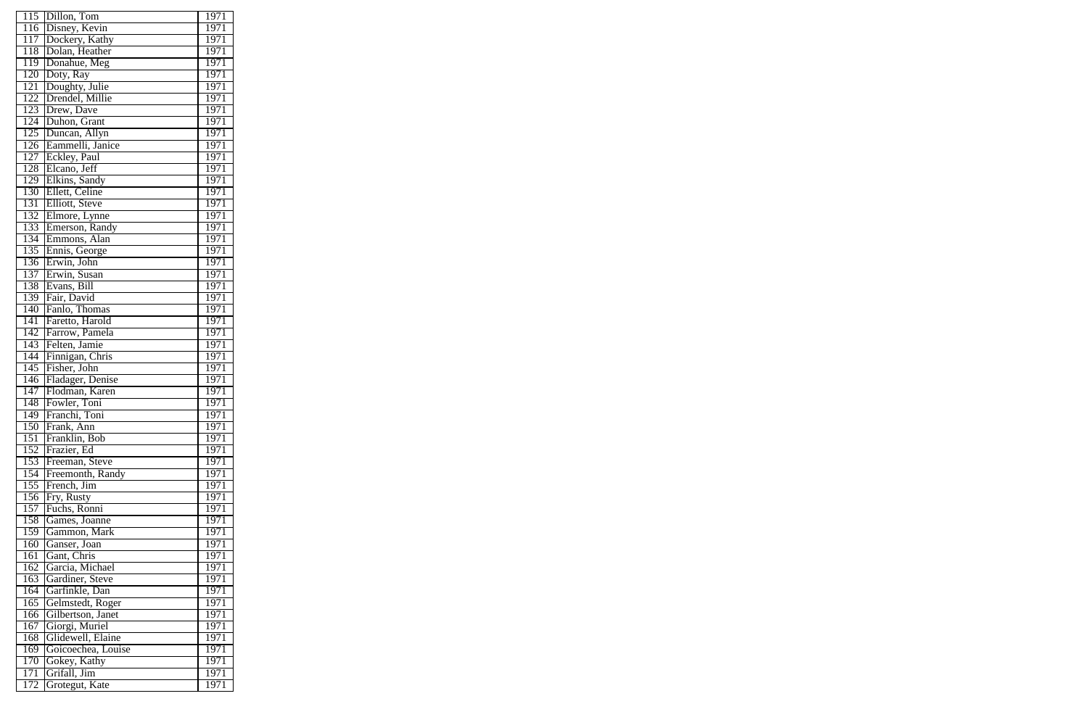| 115                     | Dillon, Tom               | 1971              |
|-------------------------|---------------------------|-------------------|
| 116                     | Disney, Kevin             | 1971              |
| 117                     | Dockery, Kathy            | 1971              |
| 118                     | Dolan, Heather            | 1971              |
| 119                     | Donahue, Meg              | 1971              |
| $\overline{120}$        | Doty, Ray                 | 1971              |
| $\overline{121}$        | Doughty, Julie            | 1971              |
| 122                     | Drendel, Millie           | 1971              |
| 123                     | Drew, Dave                | 1971              |
| 124                     | Duhon, Grant              | 1971              |
| 125                     | Duncan, Allyn             | 1971              |
| $\overline{126}$        | Eammelli, Janice          | 1971              |
| 127                     | Eckley, Paul              | 1971              |
| 128                     | Elcano, Jeff              | 1971              |
| 129                     | Elkins, Sandy             | 1971              |
| 130                     | Ellett, Celine            | 1971              |
| 131                     | Elliott, Steve            | 1971              |
| 132                     | Elmore, Lynne             | 1971              |
| 133                     | Emerson, Randy            | 1971              |
| 134                     | Emmons, Alan              | 1971              |
| 135                     | Ennis, George             | 1971              |
| 136                     | Erwin, John               | 1971              |
| 137                     | Erwin, Susan              | 1971              |
| 138                     | Evans, Bill               | 1971              |
| 139                     | Fair, David               | 1971              |
| $1\overline{40}$        | Fanlo, Thomas             | 1971              |
| 141                     | Faretto, Harold           | 1971              |
| 142                     | Farrow, Pamela            | 1971              |
| 143                     | Felten, Jamie             | 1971              |
| 144                     | Finnigan, Chris           | 1971              |
| 145                     | Fisher, John              | 1971              |
| 146                     | Fladager, Denise          | 1971              |
| 147                     | Flodman, Karen            | 1971              |
| 148                     | Fowler, Toni              | 1971              |
| 149                     | Franchi, Toni             | $1\overline{971}$ |
| 150                     | Frank, Ann                | 1971              |
| 151                     | Franklin, Bob             | 1971              |
| 152                     | Frazier, Ed               | 1971              |
| 153                     | Freeman, Steve            | 1971              |
| 154                     | Freemonth, Randy          | 1971              |
|                         |                           | 1971              |
| $1\overline{55}$<br>156 | French, Jim<br>Fry, Rusty | 1971              |
| 157                     | Fuchs, Ronni              | 1971              |
| 158                     | Games, Joanne             | 1971              |
| 159                     | Gammon, Mark              | 1971              |
|                         | Ganser, Joan              | 1971              |
| 160<br>161              | Gant, Chris               | 1971              |
|                         |                           |                   |
| 162                     | Garcia, Michael           | 1971              |
| 163                     | Gardiner, Steve           | 1971              |
| 164                     | Garfinkle, Dan            | 1971              |
| $16\overline{5}$        | Gelmstedt, Roger          | 1971              |
| 166                     | Gilbertson, Janet         | 1971              |
| 167                     | Giorgi, Muriel            | 1971              |
| 168                     | Glidewell, Elaine         | 1971              |
| 169                     | Goicoechea, Louise        | 1971              |
| 170                     | Gokey, Kathy              | 1971              |
| $17\overline{1}$        | Grifall, Jim              | 1971              |
| 172                     | Grotegut, Kate            | 1971              |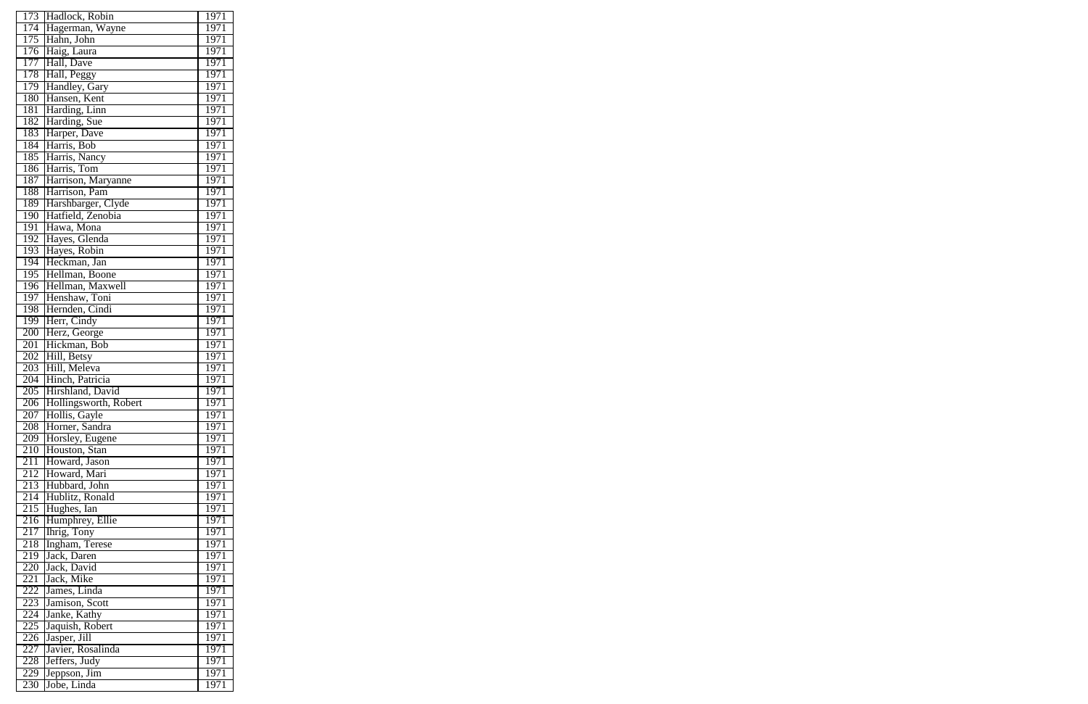| 173 | Hadlock, Robin                | 1971              |
|-----|-------------------------------|-------------------|
| 174 | Hagerman, Wayne               | 1971              |
| 175 | Hahn, John                    | 1971              |
| 176 | Haig, Laura                   | 1971              |
| 177 | Hall, Dave                    | 1971              |
| 178 | Hall, Peggy                   | 1971              |
| 179 | Handley, Gary                 | 1971              |
| 180 | Hansen, Kent                  | 1971              |
| 181 | Harding, Linn                 | 1971              |
| 182 | Harding, Sue                  | 1971              |
| 183 | Harper, Dave                  | 1971              |
| 184 | Harris, Bob                   | 1971              |
| 185 | Harris, Nancy                 | 1971              |
| 186 | Harris, Tom                   | 1971              |
| 187 | Harrison, Maryanne            | 1971              |
| 188 | Harrison, Pam                 | 1971              |
| 189 | Harshbarger, Clyde            | 1971              |
|     | Hatfield, Zenobia             | 1971              |
| 190 |                               |                   |
| 191 | Hawa, Mona                    | 1971              |
| 192 | Hayes, Glenda<br>Hayes, Robin | 1971              |
| 193 |                               | 1971              |
| 194 | Heckman, Jan                  | 1971              |
| 195 | Hellman, Boone                | 1971              |
| 196 | Hellman, Maxwell              | 1971              |
| 197 | Henshaw, Toni                 | 1971              |
| 198 | Hernden, Cindi                | 1971              |
| 199 | Herr, Cindy                   | 1971              |
| 200 | Herz, George                  | 1971              |
| 201 | Hickman, Bob                  | 1971              |
| 202 | Hill, Betsy                   | 1971              |
| 203 | Hill, Meleva                  | 1971              |
| 204 | Hinch, Patricia               | 1971              |
| 205 | Hirshland, David              | $\overline{197}1$ |
| 206 | Hollingsworth, Robert         | 1971              |
| 207 | Hollis, Gayle                 | 1971              |
| 208 | Horner, Sandra                | 1971              |
| 209 | Horsley, Eugene               | 1971              |
| 210 | Houston, Stan                 | 1971              |
| 211 | Howard, Jason                 | 1971              |
| 212 | Howard, Mari                  | 1971              |
| 213 | Hubbard, John                 | 1971              |
| 214 | Hublitz, Ronald               | 1971              |
| 215 | Hughes, Ian                   | 1971              |
| 216 | Humphrey, Ellie               | 1971              |
| 217 | Ihrig, Tony                   | 1971              |
| 218 | Ingham, Terese                | 1971              |
| 219 | Jack, Daren                   | 1971              |
| 220 | Jack, David                   | 1971              |
| 221 | Jack, Mike                    | 1971              |
| 222 | James, Linda                  | 1971              |
| 223 | Jamison, Scott                | 1971              |
| 224 | Janke, Kathy                  | 1971              |
| 225 | Jaquish, Robert               | 1971              |
| 226 | Jasper, Jill                  | 1971              |
| 227 | Javier, Rosalinda             | 1971              |
| 228 | Jeffers, Judy                 | 1971              |
| 229 | Jeppson, Jim                  | 1971              |
| 230 | Jobe, Linda                   | 1971              |
|     |                               |                   |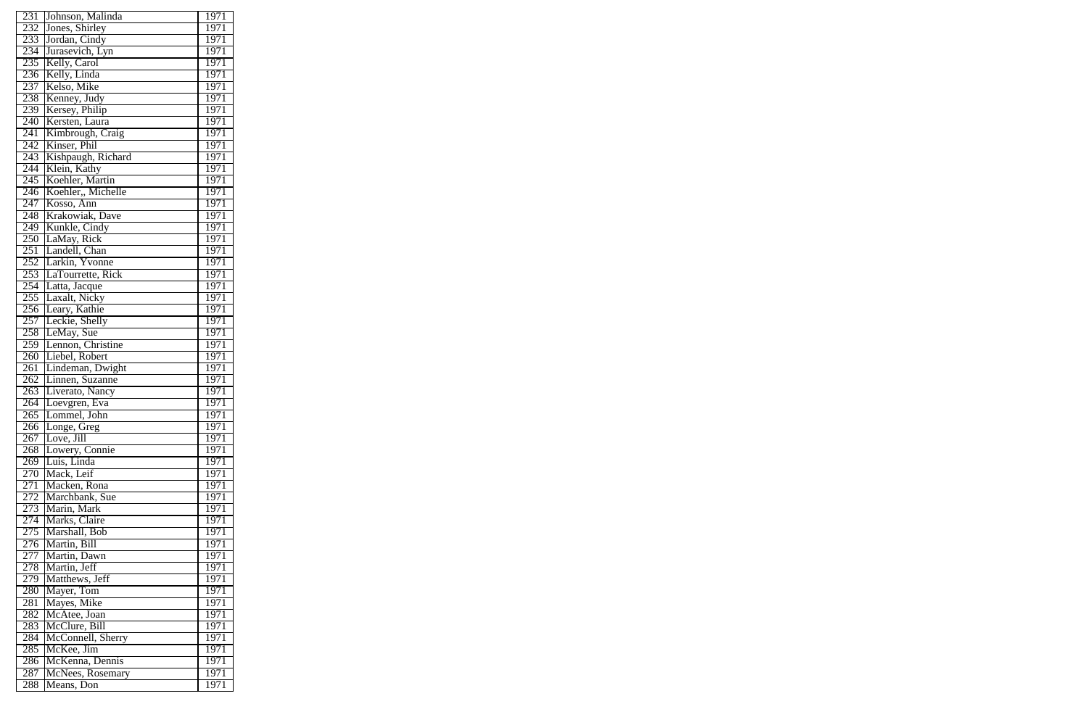| 231              | Johnson, Malinda   | 1971 |
|------------------|--------------------|------|
| 232              | Jones, Shirley     | 1971 |
| 233              | Jordan, Cindy      | 1971 |
| 234              | Jurasevich, Lyn    | 1971 |
| 235              | Kelly, Carol       | 1971 |
| 236              | Kelly, Linda       | 1971 |
| 237              | Kelso, Mike        | 1971 |
|                  |                    |      |
| 238              | Kenney, Judy       | 1971 |
| 239              | Kersey, Philip     | 1971 |
| $\overline{240}$ | Kersten, Laura     | 1971 |
| $\overline{241}$ | Kimbrough, Craig   | 1971 |
| 242              | Kinser, Phil       | 1971 |
| 243              | Kishpaugh, Richard | 1971 |
| 244              | Klein, Kathy       | 1971 |
| 245              | Koehler, Martin    | 1971 |
| 246              | Koehler,, Michelle | 1971 |
| 247              | Kosso, Ann         | 1971 |
| 248              | Krakowiak, Dave    | 1971 |
| 249              | Kunkle, Cindy      | 1971 |
| 250              | LaMay, Rick        | 1971 |
| 251              | Landell, Chan      | 1971 |
| 252              | Larkin, Yvonne     | 1971 |
| 253              | LaTourrette, Rick  | 1971 |
| 254              |                    | 1971 |
|                  | Latta, Jacque      |      |
| 255              | Laxalt, Nicky      | 1971 |
| 256              | Leary, Kathie      | 1971 |
| 257              | Leckie, Shelly     | 1971 |
| 258              | LeMay, Sue         | 1971 |
| 259              | Lennon, Christine  | 1971 |
| 260              | Liebel, Robert     | 1971 |
| $\overline{261}$ | Lindeman, Dwight   | 1971 |
| 262              | Linnen, Suzanne    | 1971 |
| 263              | Liverato, Nancy    | 1971 |
| 264              | Loevgren, Eva      | 1971 |
| $\overline{265}$ | Lommel, John       | 1971 |
| 266              | Longe, Greg        | 1971 |
| 267              | Love, Jill         | 1971 |
| 268              | Lowery, Connie     | 1971 |
| 269              | Luis, Linda        | 1971 |
| 270              | Mack, Leif         | 1971 |
| 271              | Macken, Rona       | 1971 |
| 272              | Marchbank, Sue     | 1971 |
| 273              | Marin, Mark        | 1971 |
| 274              | Marks, Claire      | 1971 |
|                  |                    |      |
| 275              | Marshall, Bob      | 1971 |
| 276              | Martin, Bill       | 1971 |
| 277              | Martin, Dawn       | 1971 |
| 278              | Martin, Jeff       | 1971 |
| 279              | Matthews, Jeff     | 1971 |
| 280              | Mayer, Tom         | 1971 |
| 281              | Mayes, Mike        | 1971 |
| $28\overline{2}$ | McAtee, Joan       | 1971 |
| 283              | McClure, Bill      | 1971 |
| 284              | McConnell, Sherry  | 1971 |
| 285              | McKee, Jim         | 1971 |
| 286              | McKenna, Dennis    | 1971 |
| 287              | McNees, Rosemary   | 1971 |
| 288              | Means, Don         | 1971 |
|                  |                    |      |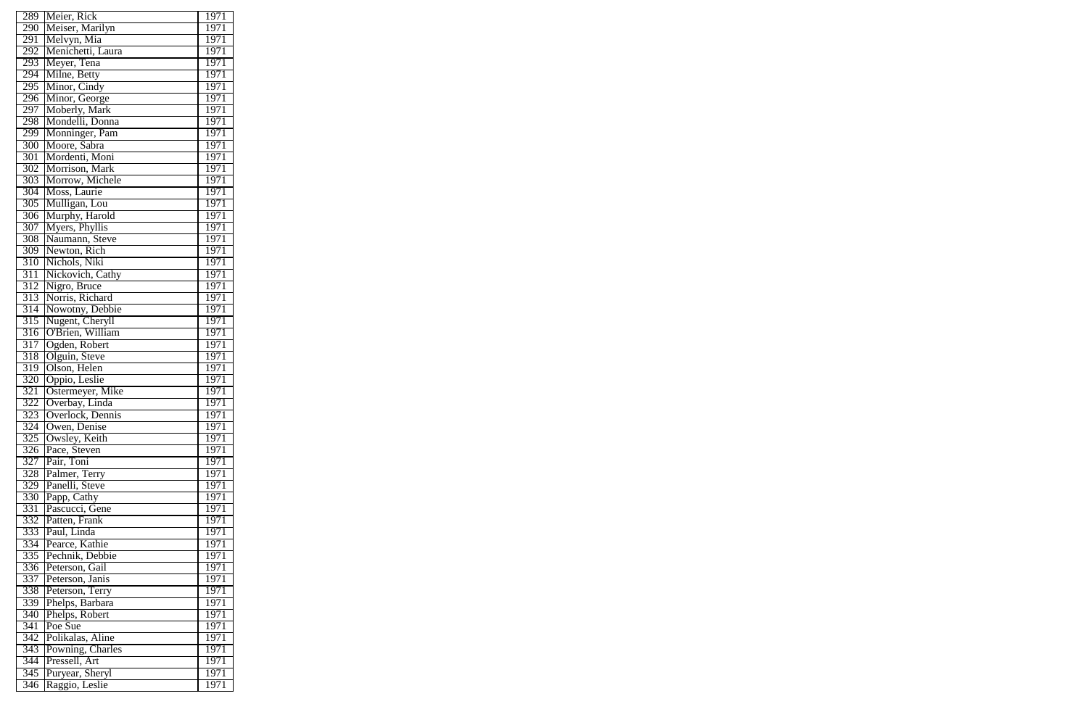| 289              | Meier, Rick                         | 1971         |
|------------------|-------------------------------------|--------------|
| 290              | Meiser, Marilyn                     | 1971         |
| 291              | Melvyn, Mia                         | 1971         |
| 292              | Menichetti, Laura                   | 1971         |
| 293              | Meyer, Tena                         | 1971         |
| 294              | Milne, Betty                        | 1971         |
| 295              | Minor, Cindy                        | 1971         |
| 296              | Minor, George                       | 1971         |
| 297              | Moberly, Mark                       | 1971         |
| 298              | Mondelli, Donna                     | 1971         |
| 299              | Monninger, Pam                      | 1971         |
| 300              | Moore, Sabra                        | 1971         |
| 301              | Mordenti, Moni                      | 1971         |
| 302              | Morrison, Mark                      | 1971         |
| 303              | Morrow, Michele                     | 1971         |
| 304              | Moss, Laurie                        | 1971         |
| 305              | Mulligan, Lou                       | 1971         |
| 306              | Murphy, Harold                      | 1971         |
| 307              | Myers, Phyllis                      | 1971         |
| 308              | Naumann, Steve                      | 1971         |
| 309              | Newton, Rich                        | 1971         |
| 310              | Nichols, Niki                       | 1971         |
| 311              | Nickovich, Cathy                    | 1971         |
| 312              | Nigro, Bruce                        | 1971         |
| 313              | Norris, Richard                     | 1971         |
| 314              | Nowotny, Debbie                     | 1971         |
| 315              |                                     | 1971         |
| 316              | Nugent, Cheryll<br>O'Brien, William | 1971         |
| 317              | Ogden, Robert                       | 1971         |
| 318              | Olguin, Steve                       | 1971         |
| 319              | Olson, Helen                        | 1971         |
| 320              | Oppio, Leslie                       | 1971         |
| 321              |                                     | 1971         |
| 322              | Ostermeyer, Mike                    |              |
| 323              | Overbay, Linda<br>Overlock, Dennis  | 1971<br>1971 |
| 324              |                                     |              |
|                  | Owen, Denise                        | 1971<br>1971 |
| 325<br>326       | Owsley, Keith<br>Pace, Steven       |              |
|                  |                                     | 1971         |
| 327              | Pair, Toni                          | 1971         |
| 328              | Palmer, Terry<br>Panelli, Steve     | 1971         |
| 329              |                                     | 1971         |
| 330              | Papp, Cathy                         | 1971         |
| 331              | Pascucci, Gene                      | 1971         |
| 332              | Patten, Frank                       | 1971         |
| 333              | Paul, Linda                         | 1971         |
| 334              | Pearce, Kathie                      | 1971         |
| 335              | Pechnik, Debbie                     | 1971         |
| 336              | Peterson, Gail                      | 1971         |
| 337              | Peterson, Janis                     | 1971         |
| 338              | Peterson, Terry                     | 1971         |
| $\overline{3}39$ | Phelps, Barbara                     | 1971         |
| 340              | Phelps, Robert                      | 1971         |
| 341              | Poe Sue                             | 1971         |
| 342              | Polikalas, Aline                    | 1971         |
| 343              | Powning, Charles                    | 1971         |
| $\overline{344}$ | Pressell, Art                       | 1971         |
| 345              | Puryear, Sheryl                     | 1971         |
| 346              | Raggio, Leslie                      | 1971         |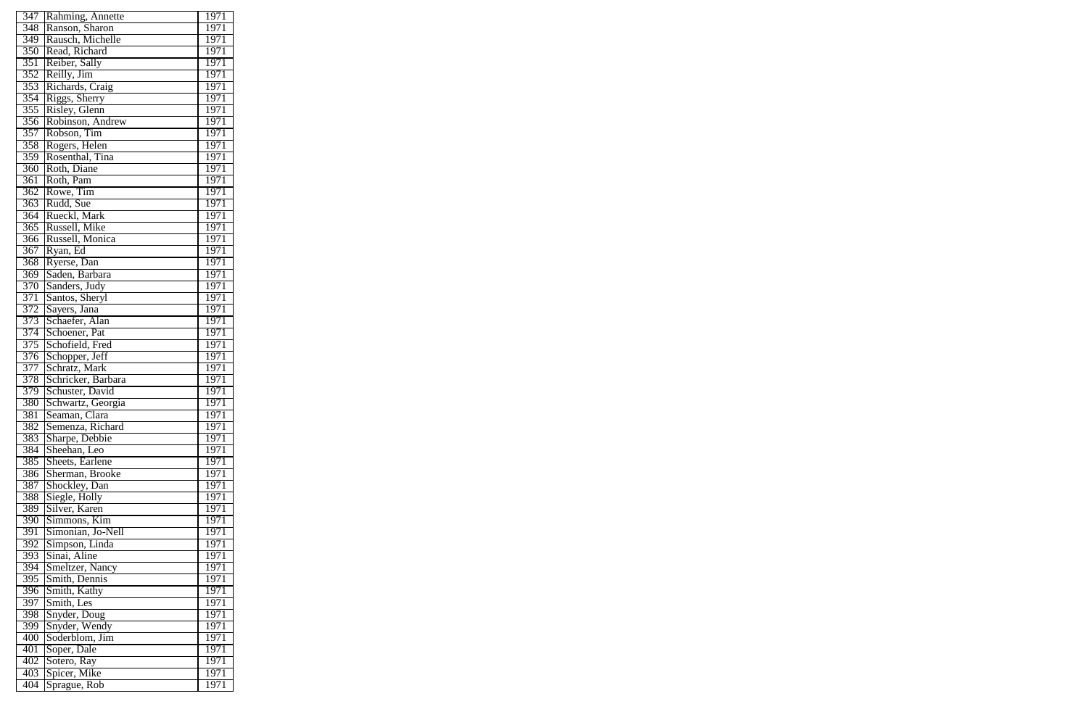| 347              | Rahming, Annette   | 1971              |
|------------------|--------------------|-------------------|
| 348              | Ranson, Sharon     | 1971              |
| 349              | Rausch, Michelle   | 1971              |
| 350              | Read, Richard      | 1971              |
| 351              | Reiber, Sally      | 1971              |
| 352              | Reilly, Jim        | 1971              |
| 353              | Richards, Craig    | 1971              |
| 354              | Riggs, Sherry      | 1971              |
| 355              | Risley, Glenn      | 1971              |
| 356              | Robinson, Andrew   | 1971              |
| 357              | Robson, Tim        | 1971              |
| 358              | Rogers, Helen      | 1971              |
| 359              | Rosenthal, Tina    | 1971              |
| 360              | Roth, Diane        | 1971              |
| $\overline{361}$ | Roth, Pam          | 1971              |
| $\overline{362}$ | Rowe, Tim          | 1971              |
| 363              | Rudd, Sue          | 1971              |
| 364              | Rueckl, Mark       | 1971              |
| 365              | Russell, Mike      | 1971              |
| $\overline{366}$ | Russell, Monica    | 1971              |
| $\overline{367}$ | Ryan, Ed           | 1971              |
| 368              | Ryerse, Dan        | 1971              |
| 369              | Saden, Barbara     | 1971              |
| 370              | Sanders, Judy      | 1971              |
| 371              | Santos, Sheryl     | 1971              |
| 372              | Sayers, Jana       | 1971              |
| 373              | Schaefer, Alan     | 1971              |
| 374              | Schoener, Pat      | 1971              |
| 375              | Schofield, Fred    | 1971              |
| 376              | Schopper, Jeff     | 1971              |
| 377              | Schratz, Mark      | 1971              |
| 378              | Schricker, Barbara | 1971              |
| 379              | Schuster, David    | 1971              |
| 380              | Schwartz, Georgia  | 1971              |
| $\overline{381}$ | Seaman, Clara      | $197\overline{1}$ |
| 382              | Semenza, Richard   | 1971              |
| 383              | Sharpe, Debbie     | 1971              |
| 384              | Sheehan, Leo       | 1971              |
| 385              | Sheets, Earlene    | 1971              |
| 386              | Sherman, Brooke    | 1971              |
| 387              | Shockley, Dan      | 1971              |
| 388              | Siegle, Holly      | 1971              |
| 389              | Silver, Karen      | 1971              |
| 390              | Simmons, Kim       | 1971              |
| $\overline{391}$ | Simonian, Jo-Nell  | 1971              |
| 392              | Simpson, Linda     | 1971              |
| 393              | Sinai, Aline       | 1971              |
| 394              | Smeltzer, Nancy    | 1971              |
| 395              | Smith, Dennis      | 1971              |
| 396              | Smith, Kathy       | 1971              |
| $39\overline{7}$ | Smith, Les         | 1971              |
| 398              | Snyder, Doug       | 1971              |
| 399              | Snyder, Wendy      | 1971              |
| 400              | Soderblom, Jim     | 1971              |
| $\overline{401}$ | Soper, Dale        | 1971              |
| 402              | Sotero, Ray        | 1971              |
| 403              | Spicer, Mike       | 1971              |
| 404              | Sprague, Rob       | 1971              |
|                  |                    |                   |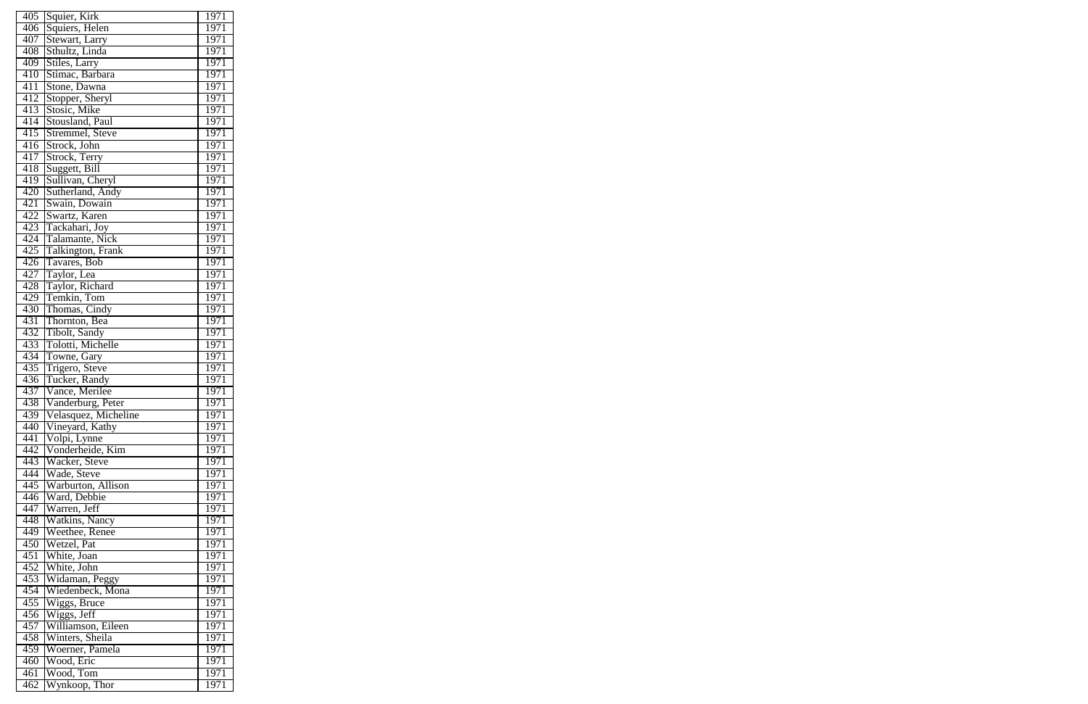| 405              | Squier, Kirk            | 1971              |
|------------------|-------------------------|-------------------|
| 406              | Squiers, Helen          | 1971              |
| 407              | Stewart, Larry          | 1971              |
| 408              | Sthultz, Linda          | 1971              |
| 409              | Stiles, Larry           | 1971              |
| 410              | Stimac, Barbara         | 1971              |
| 411              | Stone, Dawna            | 1971              |
| 412              | Stopper, Sheryl         | 1971              |
| 413              | Stosic, Mike            | 1971              |
| 414              | Stousland, Paul         | 1971              |
| 415              | Stremmel, Steve         | 1971              |
| 416              | Strock, John            | 1971              |
| 417              | Strock, Terry           | 1971              |
| 418              | Suggett, Bill           | 1971              |
| 419              | Sullivan, Cheryl        | 1971              |
| 420              | Sutherland, Andy        | 1971              |
| 421              | Swain, Dowain           | 1971              |
| 422              | Swartz, Karen           | $1\overline{971}$ |
| 423              | Tackahari, Joy          | 1971              |
| 424              | Talamante, Nick         | 1971              |
| 425              |                         | 1971              |
|                  | Talkington, Frank       | 1971              |
| $4\overline{26}$ | Tavares, Bob            | 1971              |
| 427              | Taylor, Lea             |                   |
| 428              | Taylor, Richard         | 1971              |
| 429              | Temkin, Tom             | 1971              |
| 430              | Thomas, Cindy           | 1971              |
| $4\overline{31}$ | Thornton, Bea           | 1971              |
| 432              | Tibolt, Sandy           | 1971              |
| 433              | Tolotti, Michelle       | 1971              |
| 434              | Towne, Gary             | 1971              |
| 435              | Trigero, Steve          | 1971              |
| 436              | Tucker, Randy           | 1971              |
| 437              | Vance, Merilee          | 1971              |
| 438              | Vanderburg, Peter       | 1971              |
| 439              | Velasquez, Micheline    | 1971              |
| 440              | Vineyard, Kathy         | 1971              |
| 441              | Volpi, Lynne            | 1971              |
| 442              | Vonderheide, Kim        | 1971              |
| 443              | Wacker, Steve           | 1971              |
| 444              | Wade, Steve             | 1971              |
| 445              | Warburton, Allison      | 1971              |
| 446              | Ward, Debbie            | 1971              |
| 447              | Warren, Jeff            | 1971              |
| 448              | Watkins, Nancy          | 1971              |
| 449              | Weethee, Renee          | 1971              |
| 450              | Wetzel, Pat             | 1971              |
| $\sqrt{451}$     | White, Joan             | 1971              |
| 452              | White, John             | 1971              |
| 453              | Widaman, Peggy          | 1971              |
| 454              | Wiedenbeck, Mona        | 1971              |
| 455              | Wiggs, Bruce            | 1971              |
| 456              | Wiggs, Jeff             | 1971              |
| 457              | Williamson, Eileen      | 1971              |
| 458              | Winters, Sheila         | 1971              |
| 459              | Woerner, Pamela         | 1971              |
| 460              | Wood, Eric              | 1971              |
| 461              | $\frac{W}{10000}$ , Tom | 1971              |
| 462              | Wynkoop, Thor           | 1971              |
|                  |                         |                   |